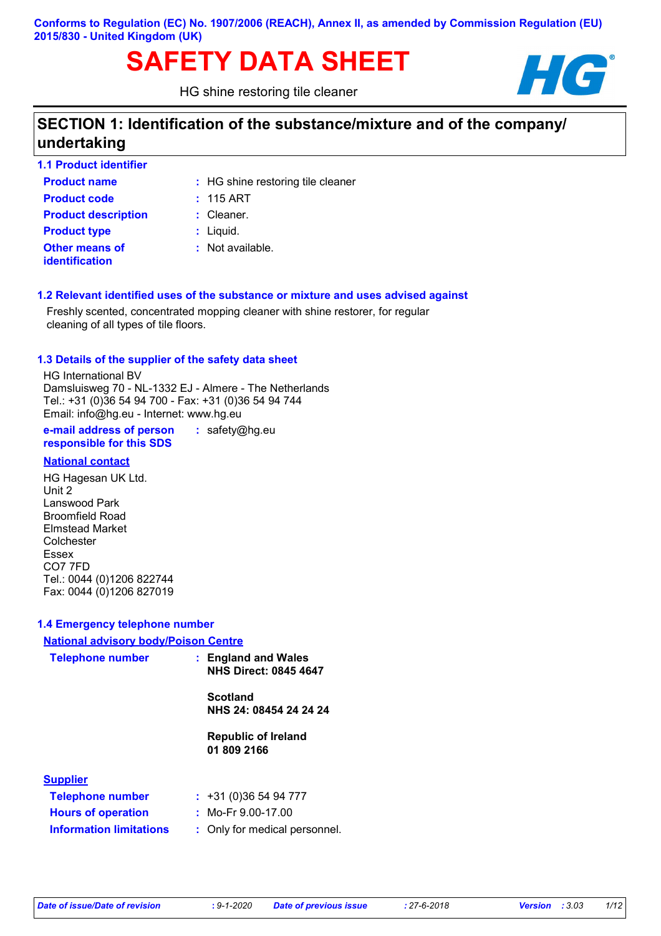### **Conforms to Regulation (EC) No. 1907/2006 (REACH), Annex II, as amended by Commission Regulation (EU) 2015/830 - United Kingdom (UK)**

# **SAFETY DATA SHEET**

HG shine restoring tile cleaner



# **SECTION 1: Identification of the substance/mixture and of the company/ undertaking**

deaner

| <b>1.1 Product identifier</b> |                           |
|-------------------------------|---------------------------|
| <b>Product name</b>           | : HG shine restoring tile |
| <b>Product code</b>           | $: 115$ ART               |
| <b>Product description</b>    | $:$ Cleaner.              |
| <b>Product type</b>           | $:$ Liquid.               |
| <b>Other means of</b>         | : Not available.          |
| <b>identification</b>         |                           |

### **1.2 Relevant identified uses of the substance or mixture and uses advised against**

Freshly scented, concentrated mopping cleaner with shine restorer, for regular cleaning of all types of tile floors.

#### **1.3 Details of the supplier of the safety data sheet**

HG International BV Damsluisweg 70 - NL-1332 EJ - Almere - The Netherlands Tel.: +31 (0)36 54 94 700 - Fax: +31 (0)36 54 94 744 Email: info@hg.eu - Internet: www.hg.eu

**e-mail address of person responsible for this SDS :** safety@hg.eu

### **National contact**

HG Hagesan UK Ltd. Unit 2 Lanswood Park Broomfield Road Elmstead Market Colchester Essex CO7 7FD Tel.: 0044 (0)1206 822744 Fax: 0044 (0)1206 827019

### **1.4 Emergency telephone number**

### **National advisory body/Poison Centre**

| <b>Telephone number</b>        | : England and Wales<br><b>NHS Direct: 0845 4647</b> |
|--------------------------------|-----------------------------------------------------|
|                                | <b>Scotland</b><br>NHS 24: 08454 24 24 24           |
|                                | <b>Republic of Ireland</b><br>01 809 2166           |
| <b>Supplier</b>                |                                                     |
| <b>Telephone number</b>        | : 431(0)365494777                                   |
| <b>Hours of operation</b>      | : Mo-Fr $9.00-17.00$                                |
| <b>Information limitations</b> | Only for medical personnel.                         |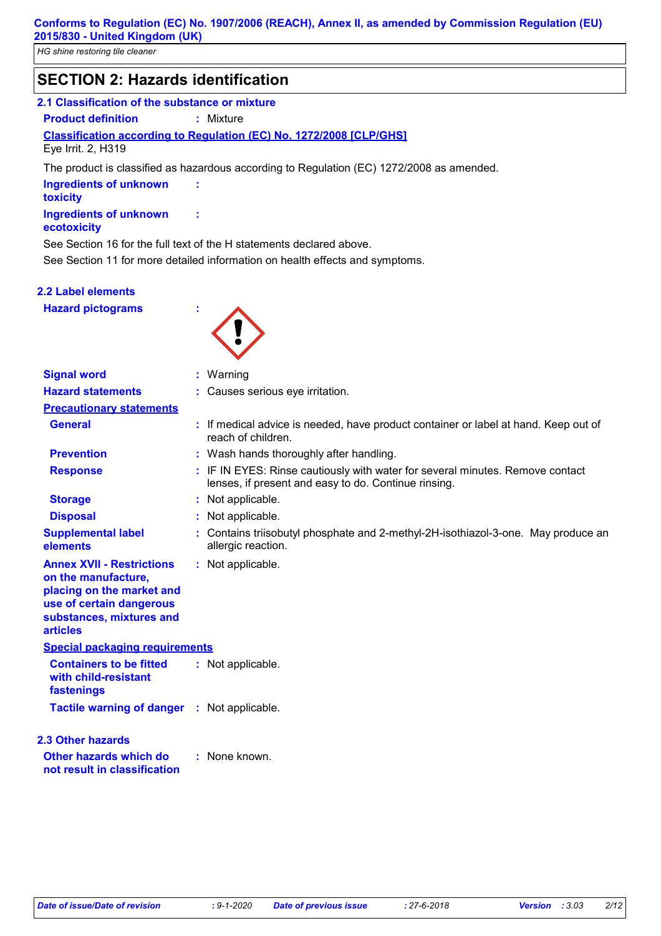### **SECTION 2: Hazards identification**

### **2.1 Classification of the substance or mixture**

**Product definition :** Mixture

### **Classification according to Regulation (EC) No. 1272/2008 [CLP/GHS]** Eye Irrit. 2, H319

The product is classified as hazardous according to Regulation (EC) 1272/2008 as amended.

| <b>Ingredients of unknown</b><br>toxicity | ÷ |  |
|-------------------------------------------|---|--|
| Ingredients of unknown<br>ecotoxicity     |   |  |

See Section 16 for the full text of the H statements declared above.

See Section 11 for more detailed information on health effects and symptoms.

### **2.2 Label elements**

**Hazard pictograms :**



| <b>Signal word</b>                                                                                                                                              | : Warning                                                                                                                             |  |
|-----------------------------------------------------------------------------------------------------------------------------------------------------------------|---------------------------------------------------------------------------------------------------------------------------------------|--|
| <b>Hazard statements</b>                                                                                                                                        | : Causes serious eye irritation.                                                                                                      |  |
| <b>Precautionary statements</b>                                                                                                                                 |                                                                                                                                       |  |
| <b>General</b>                                                                                                                                                  | : If medical advice is needed, have product container or label at hand. Keep out of<br>reach of children.                             |  |
| <b>Prevention</b>                                                                                                                                               | : Wash hands thoroughly after handling.                                                                                               |  |
| <b>Response</b>                                                                                                                                                 | : IF IN EYES: Rinse cautiously with water for several minutes. Remove contact<br>lenses, if present and easy to do. Continue rinsing. |  |
| <b>Storage</b>                                                                                                                                                  | : Not applicable.                                                                                                                     |  |
| <b>Disposal</b>                                                                                                                                                 | : Not applicable.                                                                                                                     |  |
| <b>Supplemental label</b><br>elements                                                                                                                           | : Contains triisobutyl phosphate and 2-methyl-2H-isothiazol-3-one. May produce an<br>allergic reaction.                               |  |
| <b>Annex XVII - Restrictions</b><br>on the manufacture,<br>placing on the market and<br>use of certain dangerous<br>substances, mixtures and<br><b>articles</b> | : Not applicable.                                                                                                                     |  |
| <b>Special packaging requirements</b>                                                                                                                           |                                                                                                                                       |  |
| <b>Containers to be fitted</b><br>with child-resistant<br>fastenings                                                                                            | : Not applicable.                                                                                                                     |  |
| <b>Tactile warning of danger : Not applicable.</b>                                                                                                              |                                                                                                                                       |  |
| <b>2.3 Other hazards</b><br>Other hazards which do<br>not result in classification                                                                              | : None known.                                                                                                                         |  |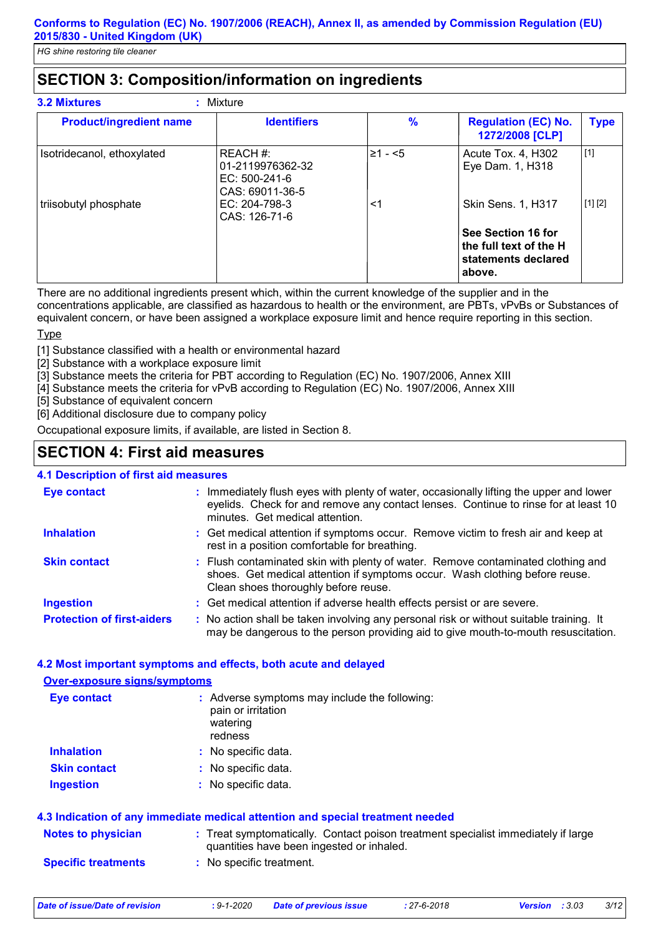# **SECTION 3: Composition/information on ingredients**

| <b>Product/ingredient name</b> | <b>Identifiers</b>                                                 | $\frac{9}{6}$ | <b>Regulation (EC) No.</b><br>1272/2008 [CLP]                                                              | <b>Type</b> |
|--------------------------------|--------------------------------------------------------------------|---------------|------------------------------------------------------------------------------------------------------------|-------------|
| Isotridecanol, ethoxylated     | REACH #:<br>01-2119976362-32<br>$EC: 500-241-6$<br>CAS: 69011-36-5 | $\geq 1 - 5$  | Acute Tox. 4, H302<br>Eye Dam. 1, H318                                                                     | $[1]$       |
| triisobutyl phosphate          | $EC: 204-798-3$<br>CAS: 126-71-6                                   | <1            | <b>Skin Sens. 1, H317</b><br>See Section 16 for<br>the full text of the H<br>statements declared<br>above. | [1] [2]     |

There are no additional ingredients present which, within the current knowledge of the supplier and in the concentrations applicable, are classified as hazardous to health or the environment, are PBTs, vPvBs or Substances of equivalent concern, or have been assigned a workplace exposure limit and hence require reporting in this section.

**Type** 

[1] Substance classified with a health or environmental hazard

[2] Substance with a workplace exposure limit

[3] Substance meets the criteria for PBT according to Regulation (EC) No. 1907/2006, Annex XIII

[4] Substance meets the criteria for vPvB according to Regulation (EC) No. 1907/2006, Annex XIII

[5] Substance of equivalent concern

[6] Additional disclosure due to company policy

Occupational exposure limits, if available, are listed in Section 8.

### **SECTION 4: First aid measures**

### **4.1 Description of first aid measures**

| Eye contact                       | : Immediately flush eyes with plenty of water, occasionally lifting the upper and lower<br>eyelids. Check for and remove any contact lenses. Continue to rinse for at least 10<br>minutes. Get medical attention. |
|-----------------------------------|-------------------------------------------------------------------------------------------------------------------------------------------------------------------------------------------------------------------|
| <b>Inhalation</b>                 | : Get medical attention if symptoms occur. Remove victim to fresh air and keep at<br>rest in a position comfortable for breathing.                                                                                |
| <b>Skin contact</b>               | : Flush contaminated skin with plenty of water. Remove contaminated clothing and<br>shoes. Get medical attention if symptoms occur. Wash clothing before reuse.<br>Clean shoes thoroughly before reuse.           |
| <b>Ingestion</b>                  | : Get medical attention if adverse health effects persist or are severe.                                                                                                                                          |
| <b>Protection of first-aiders</b> | : No action shall be taken involving any personal risk or without suitable training. It<br>may be dangerous to the person providing aid to give mouth-to-mouth resuscitation.                                     |

### **4.2 Most important symptoms and effects, both acute and delayed**

#### **Over-exposure signs/symptoms**

| <b>Eye contact</b>  | : Adverse symptoms may include the following:<br>pain or irritation<br>watering<br>redness |
|---------------------|--------------------------------------------------------------------------------------------|
| <b>Inhalation</b>   | : No specific data.                                                                        |
| <b>Skin contact</b> | : No specific data.                                                                        |
| <b>Ingestion</b>    | : No specific data.                                                                        |

| 4.3 Indication of any immediate medical attention and special treatment needed |                                                                                                                                |  |  |
|--------------------------------------------------------------------------------|--------------------------------------------------------------------------------------------------------------------------------|--|--|
| <b>Notes to physician</b>                                                      | : Treat symptomatically. Contact poison treatment specialist immediately if large<br>quantities have been ingested or inhaled. |  |  |
| <b>Specific treatments</b>                                                     | : No specific treatment.                                                                                                       |  |  |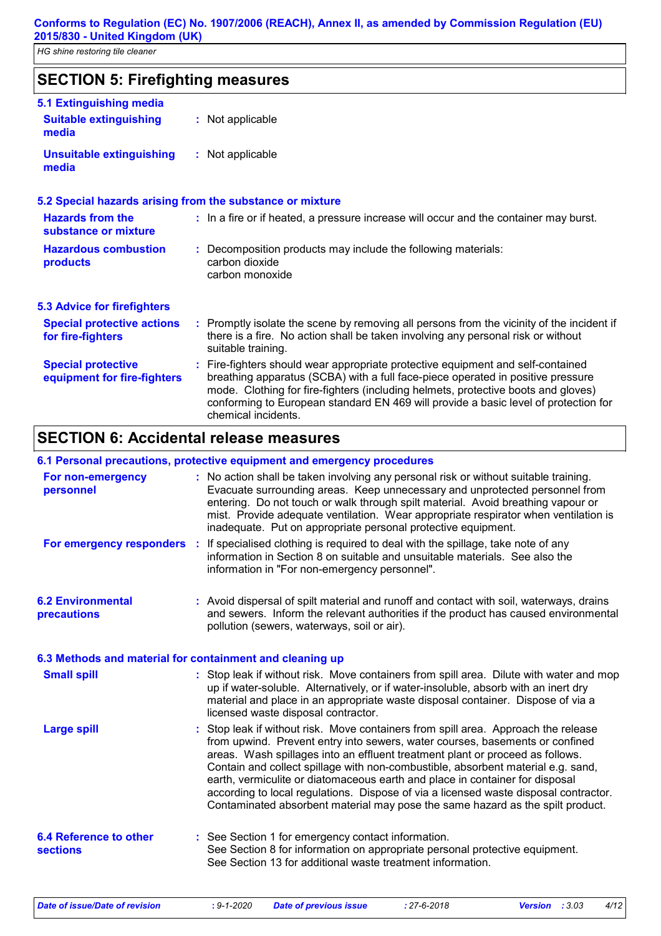# **SECTION 5: Firefighting measures**

| 5.1 Extinguishing media                                  |                                                                                                                                                                                                                                                                                                                                                                       |
|----------------------------------------------------------|-----------------------------------------------------------------------------------------------------------------------------------------------------------------------------------------------------------------------------------------------------------------------------------------------------------------------------------------------------------------------|
| <b>Suitable extinguishing</b><br>media                   | : Not applicable                                                                                                                                                                                                                                                                                                                                                      |
| <b>Unsuitable extinguishing</b><br>media                 | : Not applicable                                                                                                                                                                                                                                                                                                                                                      |
|                                                          | 5.2 Special hazards arising from the substance or mixture                                                                                                                                                                                                                                                                                                             |
| <b>Hazards from the</b><br>substance or mixture          | : In a fire or if heated, a pressure increase will occur and the container may burst.                                                                                                                                                                                                                                                                                 |
| <b>Hazardous combustion</b><br>products                  | : Decomposition products may include the following materials:<br>carbon dioxide<br>carbon monoxide                                                                                                                                                                                                                                                                    |
| <b>5.3 Advice for firefighters</b>                       |                                                                                                                                                                                                                                                                                                                                                                       |
| <b>Special protective actions</b><br>for fire-fighters   | : Promptly isolate the scene by removing all persons from the vicinity of the incident if<br>there is a fire. No action shall be taken involving any personal risk or without<br>suitable training.                                                                                                                                                                   |
| <b>Special protective</b><br>equipment for fire-fighters | : Fire-fighters should wear appropriate protective equipment and self-contained<br>breathing apparatus (SCBA) with a full face-piece operated in positive pressure<br>mode. Clothing for fire-fighters (including helmets, protective boots and gloves)<br>conforming to European standard EN 469 will provide a basic level of protection for<br>chemical incidents. |

# **SECTION 6: Accidental release measures**

### **6.1 Personal precautions, protective equipment and emergency procedures**

| For non-emergency<br>personnel                           | : No action shall be taken involving any personal risk or without suitable training.<br>Evacuate surrounding areas. Keep unnecessary and unprotected personnel from<br>entering. Do not touch or walk through spilt material. Avoid breathing vapour or<br>mist. Provide adequate ventilation. Wear appropriate respirator when ventilation is<br>inadequate. Put on appropriate personal protective equipment.                                                                                                                                                                                   |
|----------------------------------------------------------|---------------------------------------------------------------------------------------------------------------------------------------------------------------------------------------------------------------------------------------------------------------------------------------------------------------------------------------------------------------------------------------------------------------------------------------------------------------------------------------------------------------------------------------------------------------------------------------------------|
| For emergency responders :                               | If specialised clothing is required to deal with the spillage, take note of any<br>information in Section 8 on suitable and unsuitable materials. See also the<br>information in "For non-emergency personnel".                                                                                                                                                                                                                                                                                                                                                                                   |
| <b>6.2 Environmental</b><br>precautions                  | : Avoid dispersal of spilt material and runoff and contact with soil, waterways, drains<br>and sewers. Inform the relevant authorities if the product has caused environmental<br>pollution (sewers, waterways, soil or air).                                                                                                                                                                                                                                                                                                                                                                     |
| 6.3 Methods and material for containment and cleaning up |                                                                                                                                                                                                                                                                                                                                                                                                                                                                                                                                                                                                   |
| <b>Small spill</b>                                       | : Stop leak if without risk. Move containers from spill area. Dilute with water and mop<br>up if water-soluble. Alternatively, or if water-insoluble, absorb with an inert dry<br>material and place in an appropriate waste disposal container. Dispose of via a<br>licensed waste disposal contractor.                                                                                                                                                                                                                                                                                          |
| <b>Large spill</b>                                       | : Stop leak if without risk. Move containers from spill area. Approach the release<br>from upwind. Prevent entry into sewers, water courses, basements or confined<br>areas. Wash spillages into an effluent treatment plant or proceed as follows.<br>Contain and collect spillage with non-combustible, absorbent material e.g. sand,<br>earth, vermiculite or diatomaceous earth and place in container for disposal<br>according to local regulations. Dispose of via a licensed waste disposal contractor.<br>Contaminated absorbent material may pose the same hazard as the spilt product. |
| <b>6.4 Reference to other</b><br><b>sections</b>         | : See Section 1 for emergency contact information.<br>See Section 8 for information on appropriate personal protective equipment.<br>See Section 13 for additional waste treatment information.                                                                                                                                                                                                                                                                                                                                                                                                   |

*Date of issue/Date of revision* **:** *9-1-2020 Date of previous issue : 27-6-2018 Version : 3.03 4/12*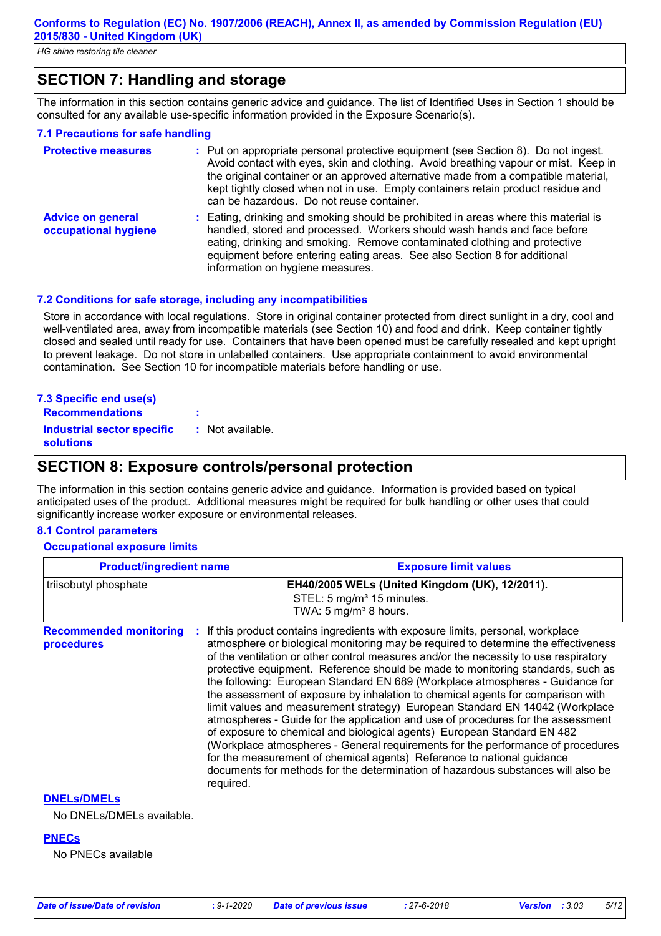# **SECTION 7: Handling and storage**

The information in this section contains generic advice and guidance. The list of Identified Uses in Section 1 should be consulted for any available use-specific information provided in the Exposure Scenario(s).

### **7.1 Precautions for safe handling**

| <b>Protective measures</b>                       | : Put on appropriate personal protective equipment (see Section 8). Do not ingest.<br>Avoid contact with eyes, skin and clothing. Avoid breathing vapour or mist. Keep in<br>the original container or an approved alternative made from a compatible material,<br>kept tightly closed when not in use. Empty containers retain product residue and<br>can be hazardous. Do not reuse container. |
|--------------------------------------------------|--------------------------------------------------------------------------------------------------------------------------------------------------------------------------------------------------------------------------------------------------------------------------------------------------------------------------------------------------------------------------------------------------|
| <b>Advice on general</b><br>occupational hygiene | : Eating, drinking and smoking should be prohibited in areas where this material is<br>handled, stored and processed. Workers should wash hands and face before<br>eating, drinking and smoking. Remove contaminated clothing and protective<br>equipment before entering eating areas. See also Section 8 for additional<br>information on hygiene measures.                                    |

### **7.2 Conditions for safe storage, including any incompatibilities**

Store in accordance with local regulations. Store in original container protected from direct sunlight in a dry, cool and well-ventilated area, away from incompatible materials (see Section 10) and food and drink. Keep container tightly closed and sealed until ready for use. Containers that have been opened must be carefully resealed and kept upright to prevent leakage. Do not store in unlabelled containers. Use appropriate containment to avoid environmental contamination. See Section 10 for incompatible materials before handling or use.

| 7.3 Specific end use(s) |  |  |
|-------------------------|--|--|
| <b>Docommondatione</b>  |  |  |

| <b>Recommendations</b>                         | ٠                |
|------------------------------------------------|------------------|
| <b>Industrial sector specific</b><br>solutions | : Not available. |

### **SECTION 8: Exposure controls/personal protection**

The information in this section contains generic advice and guidance. Information is provided based on typical anticipated uses of the product. Additional measures might be required for bulk handling or other uses that could significantly increase worker exposure or environmental releases.

### **8.1 Control parameters**

#### **Occupational exposure limits**

| <b>Product/ingredient name</b>              |           | <b>Exposure limit values</b>                                                                                                                                                                                                                                                                                                                                                                                                                                                                                                                                                                                                                                                                                                                                                                                                                                                                                                                                                                                        |
|---------------------------------------------|-----------|---------------------------------------------------------------------------------------------------------------------------------------------------------------------------------------------------------------------------------------------------------------------------------------------------------------------------------------------------------------------------------------------------------------------------------------------------------------------------------------------------------------------------------------------------------------------------------------------------------------------------------------------------------------------------------------------------------------------------------------------------------------------------------------------------------------------------------------------------------------------------------------------------------------------------------------------------------------------------------------------------------------------|
| triisobutyl phosphate                       |           | EH40/2005 WELs (United Kingdom (UK), 12/2011).<br>STEL: 5 mg/m <sup>3</sup> 15 minutes.<br>TWA: 5 mg/m <sup>3</sup> 8 hours.                                                                                                                                                                                                                                                                                                                                                                                                                                                                                                                                                                                                                                                                                                                                                                                                                                                                                        |
| <b>Recommended monitoring</b><br>procedures | required. | If this product contains ingredients with exposure limits, personal, workplace<br>atmosphere or biological monitoring may be required to determine the effectiveness<br>of the ventilation or other control measures and/or the necessity to use respiratory<br>protective equipment. Reference should be made to monitoring standards, such as<br>the following: European Standard EN 689 (Workplace atmospheres - Guidance for<br>the assessment of exposure by inhalation to chemical agents for comparison with<br>limit values and measurement strategy) European Standard EN 14042 (Workplace<br>atmospheres - Guide for the application and use of procedures for the assessment<br>of exposure to chemical and biological agents) European Standard EN 482<br>(Workplace atmospheres - General requirements for the performance of procedures<br>for the measurement of chemical agents) Reference to national guidance<br>documents for methods for the determination of hazardous substances will also be |
| <b>DNELS/DMELS</b>                          |           |                                                                                                                                                                                                                                                                                                                                                                                                                                                                                                                                                                                                                                                                                                                                                                                                                                                                                                                                                                                                                     |

No DNELs/DMELs available.

#### **PNECs**

No PNECs available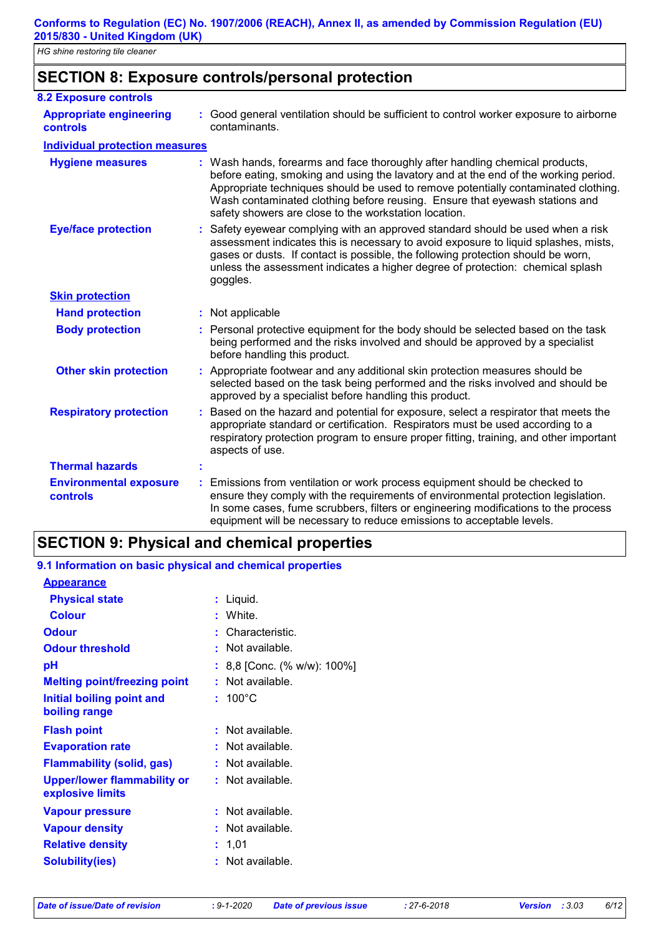|  | <b>SECTION 8: Exposure controls/personal protection</b> |
|--|---------------------------------------------------------|
|--|---------------------------------------------------------|

| <b>8.2 Exposure controls</b>                      |                                                                                                                                                                                                                                                                                                                                                                                                   |
|---------------------------------------------------|---------------------------------------------------------------------------------------------------------------------------------------------------------------------------------------------------------------------------------------------------------------------------------------------------------------------------------------------------------------------------------------------------|
| <b>Appropriate engineering</b><br><b>controls</b> | : Good general ventilation should be sufficient to control worker exposure to airborne<br>contaminants.                                                                                                                                                                                                                                                                                           |
| <b>Individual protection measures</b>             |                                                                                                                                                                                                                                                                                                                                                                                                   |
| <b>Hygiene measures</b>                           | : Wash hands, forearms and face thoroughly after handling chemical products,<br>before eating, smoking and using the lavatory and at the end of the working period.<br>Appropriate techniques should be used to remove potentially contaminated clothing.<br>Wash contaminated clothing before reusing. Ensure that eyewash stations and<br>safety showers are close to the workstation location. |
| <b>Eye/face protection</b>                        | : Safety eyewear complying with an approved standard should be used when a risk<br>assessment indicates this is necessary to avoid exposure to liquid splashes, mists,<br>gases or dusts. If contact is possible, the following protection should be worn,<br>unless the assessment indicates a higher degree of protection: chemical splash<br>goggles.                                          |
| <b>Skin protection</b>                            |                                                                                                                                                                                                                                                                                                                                                                                                   |
| <b>Hand protection</b>                            | : Not applicable                                                                                                                                                                                                                                                                                                                                                                                  |
| <b>Body protection</b>                            | : Personal protective equipment for the body should be selected based on the task<br>being performed and the risks involved and should be approved by a specialist<br>before handling this product.                                                                                                                                                                                               |
| <b>Other skin protection</b>                      | : Appropriate footwear and any additional skin protection measures should be<br>selected based on the task being performed and the risks involved and should be<br>approved by a specialist before handling this product.                                                                                                                                                                         |
| <b>Respiratory protection</b>                     | : Based on the hazard and potential for exposure, select a respirator that meets the<br>appropriate standard or certification. Respirators must be used according to a<br>respiratory protection program to ensure proper fitting, training, and other important<br>aspects of use.                                                                                                               |
| <b>Thermal hazards</b>                            |                                                                                                                                                                                                                                                                                                                                                                                                   |
| <b>Environmental exposure</b><br>controls         | Emissions from ventilation or work process equipment should be checked to<br>÷.<br>ensure they comply with the requirements of environmental protection legislation.<br>In some cases, fume scrubbers, filters or engineering modifications to the process<br>equipment will be necessary to reduce emissions to acceptable levels.                                                               |

### **SECTION 9: Physical and chemical properties**

| <u>9. Filiofination on basic physical and chemical properties</u> |
|-------------------------------------------------------------------|
|                                                                   |
| Liquid.                                                           |
| White.                                                            |
| Characteristic.                                                   |
| : Not available.                                                  |
| 8,8 [Conc. (% w/w): 100%]                                         |
| : Not available.                                                  |
| $: 100^{\circ}$ C                                                 |
| $:$ Not available.                                                |
| : Not available.                                                  |
| $:$ Not available.                                                |
| $:$ Not available.                                                |
| Not available.                                                    |
| Not available.                                                    |
| 1,01                                                              |
| Not available.                                                    |
|                                                                   |

| 9.1 Information on basic physical and chemical properties |  |  |  |  |
|-----------------------------------------------------------|--|--|--|--|
|                                                           |  |  |  |  |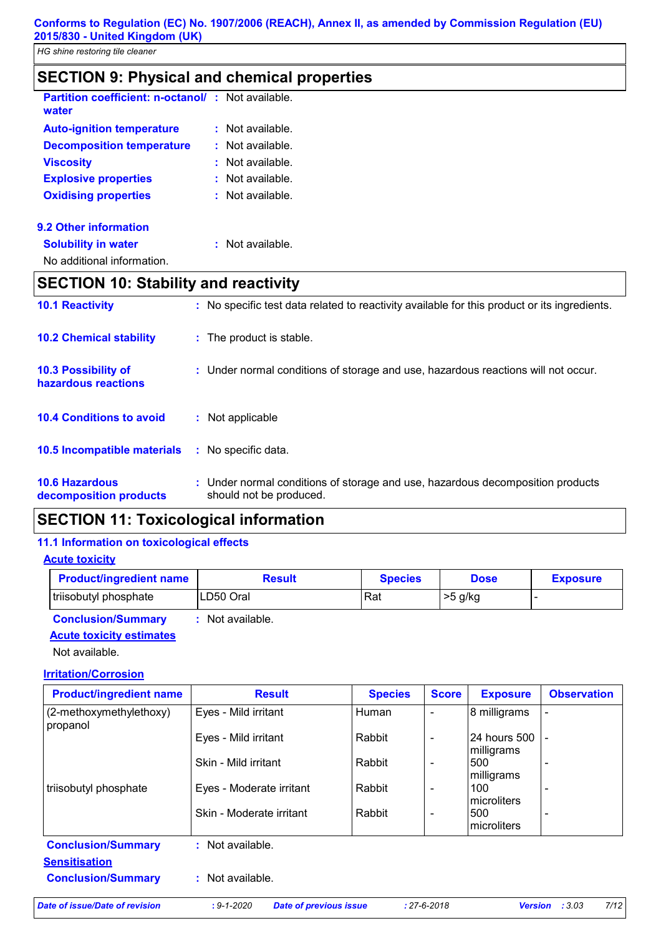| <b>SECTION 9: Physical and chemical properties</b>                |  |                             |  |
|-------------------------------------------------------------------|--|-----------------------------|--|
| <b>Partition coefficient: n-octanol/: Not available.</b><br>water |  |                             |  |
| <b>Auto-ignition temperature</b>                                  |  | $:$ Not available.          |  |
| <b>Decomposition temperature</b>                                  |  | $\therefore$ Not available. |  |
| <b>Viscosity</b>                                                  |  | $:$ Not available.          |  |
| <b>Explosive properties</b>                                       |  | $:$ Not available.          |  |
| <b>Oxidising properties</b>                                       |  | $:$ Not available.          |  |
| 9.2 Other information                                             |  |                             |  |
| <b>Solubility in water</b>                                        |  | $:$ Not available.          |  |

No additional information.

# **SECTION 10: Stability and reactivity**

| <b>10.1 Reactivity</b>                            | : No specific test data related to reactivity available for this product or its ingredients.              |
|---------------------------------------------------|-----------------------------------------------------------------------------------------------------------|
| <b>10.2 Chemical stability</b>                    | : The product is stable.                                                                                  |
| <b>10.3 Possibility of</b><br>hazardous reactions | : Under normal conditions of storage and use, hazardous reactions will not occur.                         |
| <b>10.4 Conditions to avoid</b>                   | Not applicable                                                                                            |
| 10.5 Incompatible materials                       | : No specific data.                                                                                       |
| <b>10.6 Hazardous</b><br>decomposition products   | : Under normal conditions of storage and use, hazardous decomposition products<br>should not be produced. |

# **SECTION 11: Toxicological information**

### **11.1 Information on toxicological effects**

### **Acute toxicity**

| <b>Product/ingredient name</b> | Result    | <b>Species</b> | <b>Dose</b> | <b>Exposure</b> |
|--------------------------------|-----------|----------------|-------------|-----------------|
| triisobutyl phosphate          | LD50 Oral | Rat            | >5 g/kg     |                 |

**Conclusion/Summary :** Not available.

### **Acute toxicity estimates**

Not available.

### **Irritation/Corrosion**

| <b>Product/ingredient name</b>      | <b>Result</b>            | <b>Species</b> | <b>Score</b>             | <b>Exposure</b>            | <b>Observation</b>       |
|-------------------------------------|--------------------------|----------------|--------------------------|----------------------------|--------------------------|
| (2-methoxymethylethoxy)<br>propanol | Eyes - Mild irritant     | Human          | $\overline{\phantom{0}}$ | 8 milligrams               |                          |
|                                     | Eyes - Mild irritant     | Rabbit         | $\overline{\phantom{0}}$ | 24 hours 500<br>milligrams |                          |
|                                     | Skin - Mild irritant     | Rabbit         | $\overline{\phantom{0}}$ | 500<br>milligrams          |                          |
| triisobutyl phosphate               | Eyes - Moderate irritant | Rabbit         | $\overline{\phantom{a}}$ | 100<br>microliters         |                          |
|                                     | Skin - Moderate irritant | Rabbit         |                          | 500<br>microliters         | $\overline{\phantom{0}}$ |
| <b>Conclusion/Summary</b>           | : Not available.         |                |                          |                            |                          |
| <b>Sensitisation</b>                |                          |                |                          |                            |                          |
| <b>Conclusion/Summary</b>           | : Not available.         |                |                          |                            |                          |

*Date of issue/Date of revision* **:** *9-1-2020 Date of previous issue : 27-6-2018 Version : 3.03 7/12*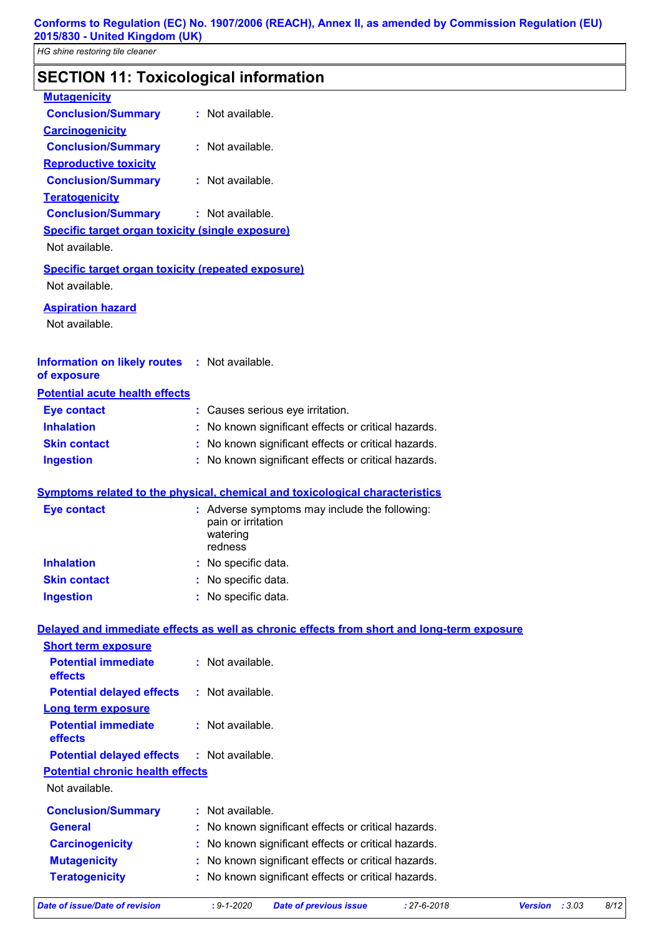# **SECTION 11: Toxicological information**

| <b>Mutagenicity</b>                                       |                                                                                            |      |
|-----------------------------------------------------------|--------------------------------------------------------------------------------------------|------|
| <b>Conclusion/Summary</b>                                 | : Not available.                                                                           |      |
| <b>Carcinogenicity</b>                                    |                                                                                            |      |
| <b>Conclusion/Summary</b>                                 | : Not available.                                                                           |      |
| <b>Reproductive toxicity</b>                              |                                                                                            |      |
| <b>Conclusion/Summary</b>                                 | : Not available.                                                                           |      |
| <b>Teratogenicity</b>                                     |                                                                                            |      |
| <b>Conclusion/Summary</b>                                 | : Not available.                                                                           |      |
| <b>Specific target organ toxicity (single exposure)</b>   |                                                                                            |      |
| Not available.                                            |                                                                                            |      |
| <b>Specific target organ toxicity (repeated exposure)</b> |                                                                                            |      |
| Not available.                                            |                                                                                            |      |
| <b>Aspiration hazard</b>                                  |                                                                                            |      |
| Not available.                                            |                                                                                            |      |
|                                                           |                                                                                            |      |
| <b>Information on likely routes</b>                       | : Not available.                                                                           |      |
| of exposure                                               |                                                                                            |      |
| <b>Potential acute health effects</b>                     |                                                                                            |      |
| <b>Eye contact</b>                                        | : Causes serious eye irritation.                                                           |      |
| <b>Inhalation</b>                                         | : No known significant effects or critical hazards.                                        |      |
| <b>Skin contact</b>                                       | : No known significant effects or critical hazards.                                        |      |
| <b>Ingestion</b>                                          | : No known significant effects or critical hazards.                                        |      |
|                                                           | Symptoms related to the physical, chemical and toxicological characteristics               |      |
|                                                           |                                                                                            |      |
| <b>Eye contact</b>                                        | : Adverse symptoms may include the following:<br>pain or irritation                        |      |
|                                                           | watering                                                                                   |      |
|                                                           | redness                                                                                    |      |
| <b>Inhalation</b>                                         | No specific data.                                                                          |      |
| <b>Skin contact</b>                                       | No specific data.                                                                          |      |
| <b>Ingestion</b>                                          | : No specific data.                                                                        |      |
|                                                           | Delayed and immediate effects as well as chronic effects from short and long-term exposure |      |
| <b>Short term exposure</b>                                |                                                                                            |      |
| <b>Potential immediate</b>                                | : Not available.                                                                           |      |
| effects                                                   |                                                                                            |      |
| <b>Potential delayed effects</b>                          | : Not available.                                                                           |      |
| <b>Long term exposure</b>                                 |                                                                                            |      |
| <b>Potential immediate</b>                                | : Not available.                                                                           |      |
| effects                                                   |                                                                                            |      |
| <b>Potential delayed effects</b>                          | : Not available.                                                                           |      |
| <b>Potential chronic health effects</b>                   |                                                                                            |      |
| Not available.                                            |                                                                                            |      |
| <b>Conclusion/Summary</b>                                 | : Not available.                                                                           |      |
| <b>General</b>                                            | No known significant effects or critical hazards.                                          |      |
| <b>Carcinogenicity</b>                                    | No known significant effects or critical hazards.                                          |      |
| <b>Mutagenicity</b>                                       | No known significant effects or critical hazards.                                          |      |
| <b>Teratogenicity</b>                                     | : No known significant effects or critical hazards.                                        |      |
|                                                           |                                                                                            |      |
| <b>Date of issue/Date of revision</b>                     | $: 9 - 1 - 2020$<br>$: 27 - 6 - 2018$<br><b>Date of previous issue</b><br>Version : 3.03   | 8/12 |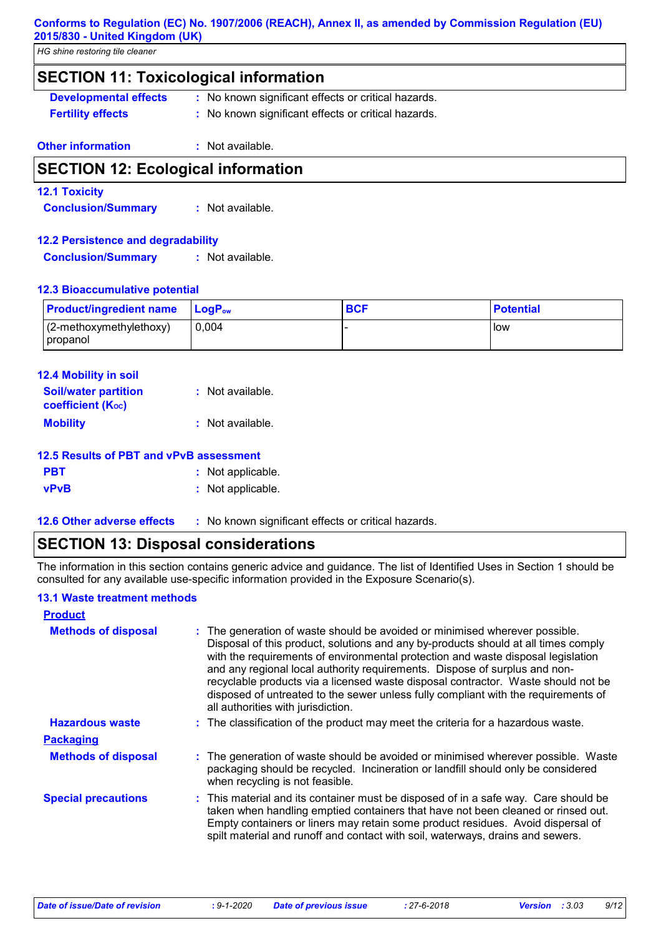#### **Conforms to Regulation (EC) No. 1907/2006 (REACH), Annex II, as amended by Commission Regulation (EU) 2015/830 - United Kingdom (UK)**

*HG shine restoring tile cleaner*

### **SECTION 11: Toxicological information**

- **Developmental effects :** No known significant effects or critical hazards.
- **Fertility effects :** No known significant effects or critical hazards.

### **Other information :** Not available.

### **SECTION 12: Ecological information**

### **12.1 Toxicity**

**Conclusion/Summary :** Not available.

### **12.2 Persistence and degradability**

**Conclusion/Summary :** Not available.

### **12.3 Bioaccumulative potential**

| <b>Product/ingredient name</b> LogP <sub>ow</sub> |       | <b>BCF</b> | <b>Potential</b> |
|---------------------------------------------------|-------|------------|------------------|
| $(2$ -methoxymethylethoxy)                        | 0.004 |            | <b>I</b> low     |
| propanol                                          |       |            |                  |

| <b>12.4 Mobility in soil</b>                            |                  |
|---------------------------------------------------------|------------------|
| <b>Soil/water partition</b><br><b>coefficient (Koc)</b> | : Not available. |
| <b>Mobility</b>                                         | : Not available. |

### **12.5 Results of PBT and vPvB assessment**

| <b>PBT</b>  | : Not applicable. |
|-------------|-------------------|
| <b>vPvB</b> | : Not applicable. |

**12.6 Other adverse effects** : No known significant effects or critical hazards.

### **SECTION 13: Disposal considerations**

The information in this section contains generic advice and guidance. The list of Identified Uses in Section 1 should be consulted for any available use-specific information provided in the Exposure Scenario(s).

### **13.1 Waste treatment methods**

| <b>Product</b>             |                                                                                                                                                                                                                                                                                                                                                                                                                                                                                                                                                      |
|----------------------------|------------------------------------------------------------------------------------------------------------------------------------------------------------------------------------------------------------------------------------------------------------------------------------------------------------------------------------------------------------------------------------------------------------------------------------------------------------------------------------------------------------------------------------------------------|
| <b>Methods of disposal</b> | : The generation of waste should be avoided or minimised wherever possible.<br>Disposal of this product, solutions and any by-products should at all times comply<br>with the requirements of environmental protection and waste disposal legislation<br>and any regional local authority requirements. Dispose of surplus and non-<br>recyclable products via a licensed waste disposal contractor. Waste should not be<br>disposed of untreated to the sewer unless fully compliant with the requirements of<br>all authorities with jurisdiction. |
| <b>Hazardous waste</b>     | : The classification of the product may meet the criteria for a hazardous waste.                                                                                                                                                                                                                                                                                                                                                                                                                                                                     |
| <b>Packaging</b>           |                                                                                                                                                                                                                                                                                                                                                                                                                                                                                                                                                      |
| <b>Methods of disposal</b> | : The generation of waste should be avoided or minimised wherever possible. Waste<br>packaging should be recycled. Incineration or landfill should only be considered<br>when recycling is not feasible.                                                                                                                                                                                                                                                                                                                                             |
| <b>Special precautions</b> | : This material and its container must be disposed of in a safe way. Care should be<br>taken when handling emptied containers that have not been cleaned or rinsed out.<br>Empty containers or liners may retain some product residues. Avoid dispersal of<br>spilt material and runoff and contact with soil, waterways, drains and sewers.                                                                                                                                                                                                         |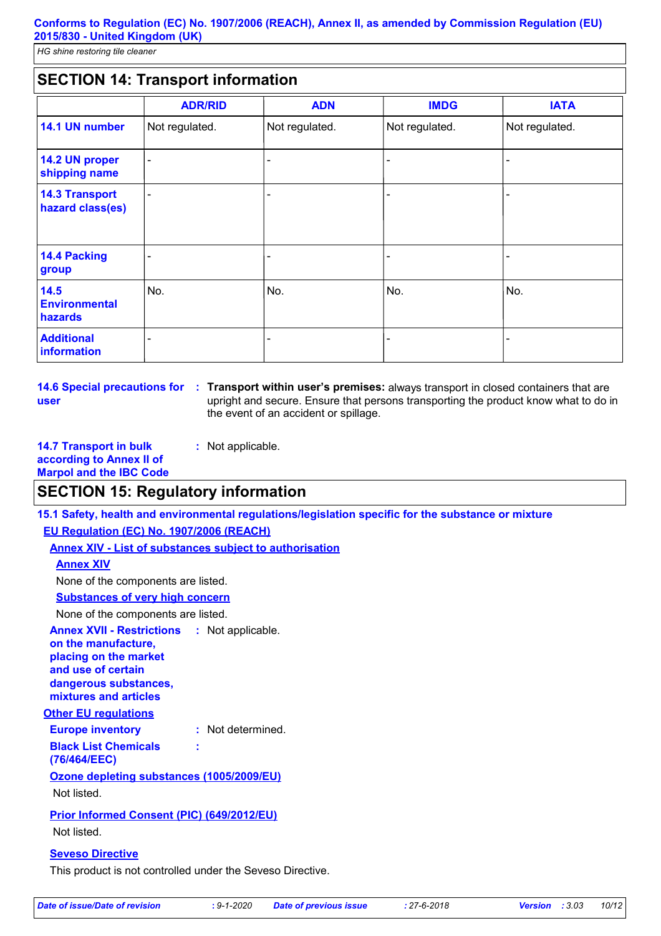### **SECTION 14: Transport information**

|                                           | <b>ADR/RID</b>           | <b>ADN</b>     | <b>IMDG</b>    | <b>IATA</b>    |
|-------------------------------------------|--------------------------|----------------|----------------|----------------|
| 14.1 UN number                            | Not regulated.           | Not regulated. | Not regulated. | Not regulated. |
| 14.2 UN proper<br>shipping name           | $\overline{\phantom{0}}$ |                |                |                |
| <b>14.3 Transport</b><br>hazard class(es) |                          |                |                |                |
| <b>14.4 Packing</b><br>group              |                          |                |                |                |
| 14.5<br><b>Environmental</b><br>hazards   | No.                      | No.            | No.            | No.            |
| <b>Additional</b><br>information          |                          |                |                |                |

**14.6 Special precautions for : Transport within user's premises:** always transport in closed containers that are **user** upright and secure. Ensure that persons transporting the product know what to do in the event of an accident or spillage.

**14.7 Transport in bulk :** Not applicable.

**according to Annex II of Marpol and the IBC Code**

### **SECTION 15: Regulatory information**

**15.1 Safety, health and environmental regulations/legislation specific for the substance or mixture**

**EU Regulation (EC) No. 1907/2006 (REACH)**

**Annex XIV - List of substances subject to authorisation**

### **Annex XIV**

None of the components are listed.

**Substances of very high concern**

None of the components are listed.

**Annex XVII - Restrictions on the manufacture, placing on the market and use of certain dangerous substances, mixtures and articles** : Not applicable.

#### **Other EU regulations**

**Europe inventory :** Not determined. **Black List Chemicals (76/464/EEC) :**

### **Ozone depleting substances (1005/2009/EU)**

Not listed.

### **Prior Informed Consent (PIC) (649/2012/EU)**

Not listed.

#### **Seveso Directive**

This product is not controlled under the Seveso Directive.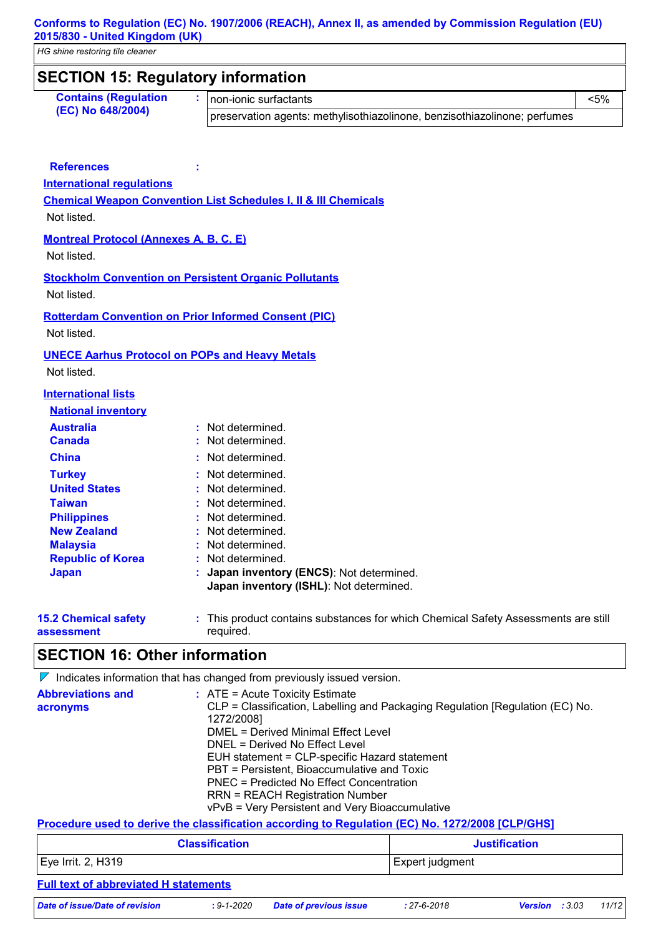| <b>SECTION 15: Regulatory information</b>                                   |                                                                                                  |                                                                                    |  |
|-----------------------------------------------------------------------------|--------------------------------------------------------------------------------------------------|------------------------------------------------------------------------------------|--|
| <b>Contains (Regulation</b>                                                 | non-ionic surfactants                                                                            | $< 5\%$                                                                            |  |
| (EC) No 648/2004)                                                           | preservation agents: methylisothiazolinone, benzisothiazolinone; perfumes                        |                                                                                    |  |
|                                                                             |                                                                                                  |                                                                                    |  |
| <b>References</b>                                                           |                                                                                                  |                                                                                    |  |
| <b>International regulations</b>                                            |                                                                                                  |                                                                                    |  |
|                                                                             | <b>Chemical Weapon Convention List Schedules I, II &amp; III Chemicals</b>                       |                                                                                    |  |
| Not listed.                                                                 |                                                                                                  |                                                                                    |  |
| <b>Montreal Protocol (Annexes A, B, C, E)</b>                               |                                                                                                  |                                                                                    |  |
| Not listed.                                                                 |                                                                                                  |                                                                                    |  |
| <b>Stockholm Convention on Persistent Organic Pollutants</b><br>Not listed. |                                                                                                  |                                                                                    |  |
| <b>Rotterdam Convention on Prior Informed Consent (PIC)</b>                 |                                                                                                  |                                                                                    |  |
| Not listed.                                                                 |                                                                                                  |                                                                                    |  |
| <b>UNECE Aarhus Protocol on POPs and Heavy Metals</b>                       |                                                                                                  |                                                                                    |  |
| Not listed.                                                                 |                                                                                                  |                                                                                    |  |
| <b>International lists</b>                                                  |                                                                                                  |                                                                                    |  |
| <b>National inventory</b>                                                   |                                                                                                  |                                                                                    |  |
| <b>Australia</b>                                                            | : Not determined.                                                                                |                                                                                    |  |
| <b>Canada</b>                                                               | : Not determined.                                                                                |                                                                                    |  |
| <b>China</b>                                                                | : Not determined.                                                                                |                                                                                    |  |
| <b>Turkey</b>                                                               | : Not determined.                                                                                |                                                                                    |  |
| <b>United States</b>                                                        | : Not determined.                                                                                |                                                                                    |  |
| <b>Taiwan</b>                                                               | : Not determined.                                                                                |                                                                                    |  |
| <b>Philippines</b>                                                          | Not determined.                                                                                  |                                                                                    |  |
| <b>New Zealand</b>                                                          | Not determined.                                                                                  |                                                                                    |  |
| <b>Malaysia</b>                                                             | Not determined.                                                                                  |                                                                                    |  |
| <b>Republic of Korea</b>                                                    | Not determined.                                                                                  |                                                                                    |  |
| <b>Japan</b>                                                                | : Japan inventory (ENCS): Not determined.<br>Japan inventory (ISHL): Not determined.             |                                                                                    |  |
| <b>15.2 Chemical safety</b>                                                 |                                                                                                  | : This product contains substances for which Chemical Safety Assessments are still |  |
| assessment                                                                  | required.                                                                                        |                                                                                    |  |
| <b>SECTION 16: Other information</b>                                        |                                                                                                  |                                                                                    |  |
|                                                                             | $\nabla$ Indicates information that has changed from previously issued version.                  |                                                                                    |  |
| <b>Abbreviations and</b>                                                    | : ATE = Acute Toxicity Estimate                                                                  |                                                                                    |  |
| acronyms                                                                    | CLP = Classification, Labelling and Packaging Regulation [Regulation (EC) No.                    |                                                                                    |  |
|                                                                             | 1272/2008]                                                                                       |                                                                                    |  |
|                                                                             | <b>DMEL = Derived Minimal Effect Level</b><br>DNEL = Derived No Effect Level                     |                                                                                    |  |
|                                                                             | EUH statement = CLP-specific Hazard statement                                                    |                                                                                    |  |
|                                                                             | PBT = Persistent, Bioaccumulative and Toxic                                                      |                                                                                    |  |
|                                                                             | <b>PNEC = Predicted No Effect Concentration</b>                                                  |                                                                                    |  |
|                                                                             | <b>RRN = REACH Registration Number</b>                                                           |                                                                                    |  |
|                                                                             | vPvB = Very Persistent and Very Bioaccumulative                                                  |                                                                                    |  |
|                                                                             | Procedure used to derive the classification according to Regulation (EC) No. 1272/2008 [CLP/GHS] |                                                                                    |  |
|                                                                             | <b>Classification</b>                                                                            | <b>Justification</b>                                                               |  |
| Eye Irrit. 2, H319                                                          |                                                                                                  | Expert judgment                                                                    |  |
|                                                                             |                                                                                                  |                                                                                    |  |
| <b>Full text of abbreviated H statements</b>                                |                                                                                                  |                                                                                    |  |